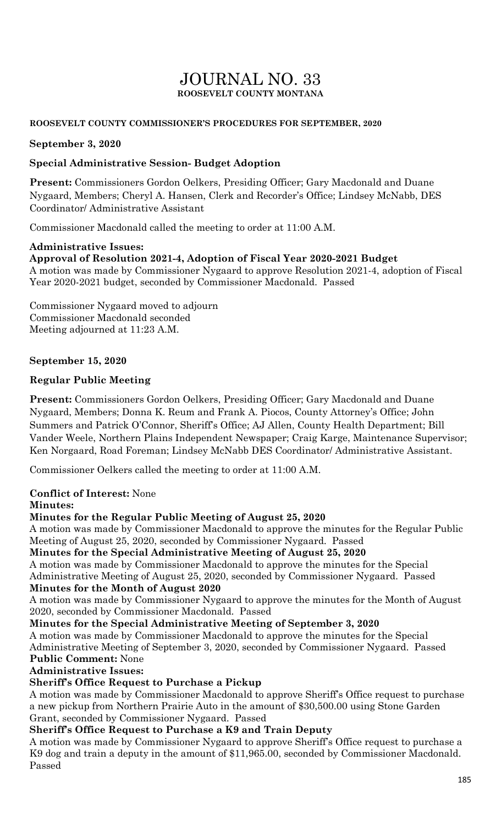# JOURNAL NO. 33 **ROOSEVELT COUNTY MONTANA**

### **ROOSEVELT COUNTY COMMISSIONER'S PROCEDURES FOR SEPTEMBER, 2020**

### **September 3, 2020**

## **Special Administrative Session- Budget Adoption**

**Present:** Commissioners Gordon Oelkers, Presiding Officer; Gary Macdonald and Duane Nygaard, Members; Cheryl A. Hansen, Clerk and Recorder's Office; Lindsey McNabb, DES Coordinator/ Administrative Assistant

Commissioner Macdonald called the meeting to order at 11:00 A.M.

#### **Administrative Issues: Approval of Resolution 2021-4, Adoption of Fiscal Year 2020-2021 Budget**  A motion was made by Commissioner Nygaard to approve Resolution 2021-4, adoption of Fiscal Year 2020-2021 budget, seconded by Commissioner Macdonald. Passed

Commissioner Nygaard moved to adjourn Commissioner Macdonald seconded Meeting adjourned at 11:23 A.M.

## **September 15, 2020**

## **Regular Public Meeting**

**Present:** Commissioners Gordon Oelkers, Presiding Officer; Gary Macdonald and Duane Nygaard, Members; Donna K. Reum and Frank A. Piocos, County Attorney's Office; John Summers and Patrick O'Connor, Sheriff's Office; AJ Allen, County Health Department; Bill Vander Weele, Northern Plains Independent Newspaper; Craig Karge, Maintenance Supervisor; Ken Norgaard, Road Foreman; Lindsey McNabb DES Coordinator/ Administrative Assistant.

Commissioner Oelkers called the meeting to order at 11:00 A.M.

## **Conflict of Interest:** None

#### **Minutes:**

#### **Minutes for the Regular Public Meeting of August 25, 2020**

A motion was made by Commissioner Macdonald to approve the minutes for the Regular Public Meeting of August 25, 2020, seconded by Commissioner Nygaard. Passed

#### **Minutes for the Special Administrative Meeting of August 25, 2020**

A motion was made by Commissioner Macdonald to approve the minutes for the Special Administrative Meeting of August 25, 2020, seconded by Commissioner Nygaard. Passed **Minutes for the Month of August 2020**

A motion was made by Commissioner Nygaard to approve the minutes for the Month of August 2020, seconded by Commissioner Macdonald. Passed

**Minutes for the Special Administrative Meeting of September 3, 2020**

A motion was made by Commissioner Macdonald to approve the minutes for the Special Administrative Meeting of September 3, 2020, seconded by Commissioner Nygaard. Passed **Public Comment:** None

#### **Administrative Issues:**

# **Sheriff's Office Request to Purchase a Pickup**

A motion was made by Commissioner Macdonald to approve Sheriff's Office request to purchase a new pickup from Northern Prairie Auto in the amount of \$30,500.00 using Stone Garden Grant, seconded by Commissioner Nygaard. Passed

# **Sheriff's Office Request to Purchase a K9 and Train Deputy**

A motion was made by Commissioner Nygaard to approve Sheriff's Office request to purchase a K9 dog and train a deputy in the amount of \$11,965.00, seconded by Commissioner Macdonald. Passed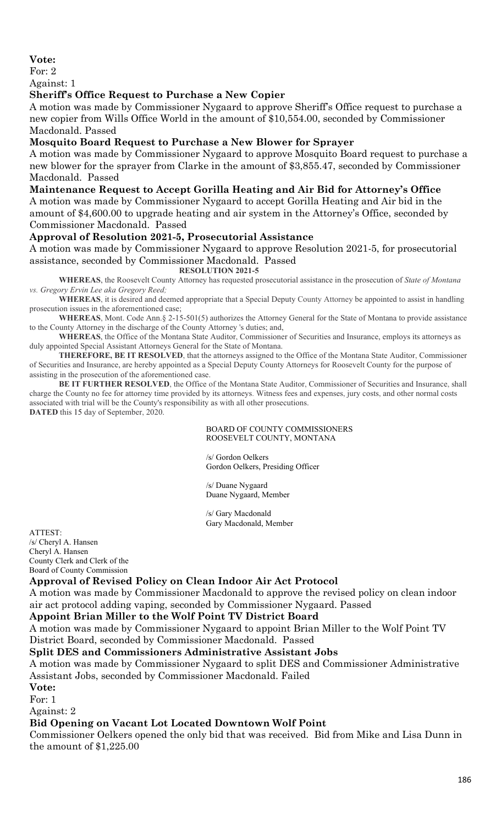## **Vote:**

For: 2

Against: 1

#### **Sheriff's Office Request to Purchase a New Copier**

A motion was made by Commissioner Nygaard to approve Sheriff's Office request to purchase a new copier from Wills Office World in the amount of \$10,554.00, seconded by Commissioner Macdonald. Passed

## **Mosquito Board Request to Purchase a New Blower for Sprayer**

A motion was made by Commissioner Nygaard to approve Mosquito Board request to purchase a new blower for the sprayer from Clarke in the amount of \$3,855.47, seconded by Commissioner Macdonald. Passed

**Maintenance Request to Accept Gorilla Heating and Air Bid for Attorney's Office**

A motion was made by Commissioner Nygaard to accept Gorilla Heating and Air bid in the amount of \$4,600.00 to upgrade heating and air system in the Attorney's Office, seconded by Commissioner Macdonald. Passed

## **Approval of Resolution 2021-5, Prosecutorial Assistance**

A motion was made by Commissioner Nygaard to approve Resolution 2021-5, for prosecutorial assistance, seconded by Commissioner Macdonald. Passed

**RESOLUTION 2021-5**

**WHEREAS**, the Roosevelt County Attorney has requested prosecutorial assistance in the prosecution of *State of Montana vs. Gregory Ervin Lee aka Gregory Reed;*

**WHEREAS**, it is desired and deemed appropriate that a Special Deputy County Attorney be appointed to assist in handling prosecution issues in the aforementioned case;

**WHEREAS**, Mont. Code Ann.§ 2-15-501(5) authorizes the Attorney General for the State of Montana to provide assistance to the County Attorney in the discharge of the County Attorney 's duties; and,

**WHEREAS**, the Office of the Montana State Auditor, Commissioner of Securities and Insurance, employs its attorneys as duly appointed Special Assistant Attorneys General for the State of Montana.

**THEREFORE, BE IT RESOLVED**, that the attorneys assigned to the Office of the Montana State Auditor, Commissioner of Securities and Insurance, are hereby appointed as a Special Deputy County Attorneys for Roosevelt County for the purpose of assisting in the prosecution of the aforementioned case.

**BE IT FURTHER RESOLVED**, the Office of the Montana State Auditor, Commissioner of Securities and Insurance, shall charge the County no fee for attorney time provided by its attorneys. Witness fees and expenses, jury costs, and other normal costs associated with trial will be the County's responsibility as with all other prosecutions. **DATED** this 15 day of September, 2020.

#### BOARD OF COUNTY COMMISSIONERS ROOSEVELT COUNTY, MONTANA

/s/ Gordon Oelkers Gordon Oelkers, Presiding Officer

/s/ Duane Nygaard Duane Nygaard, Member

/s/ Gary Macdonald Gary Macdonald, Member

ATTEST: /s/ Cheryl A. Hansen Cheryl A. Hansen County Clerk and Clerk of the Board of County Commission

#### **Approval of Revised Policy on Clean Indoor Air Act Protocol**

A motion was made by Commissioner Macdonald to approve the revised policy on clean indoor air act protocol adding vaping, seconded by Commissioner Nygaard. Passed

#### **Appoint Brian Miller to the Wolf Point TV District Board**

A motion was made by Commissioner Nygaard to appoint Brian Miller to the Wolf Point TV District Board, seconded by Commissioner Macdonald. Passed

#### **Split DES and Commissioners Administrative Assistant Jobs**

A motion was made by Commissioner Nygaard to split DES and Commissioner Administrative Assistant Jobs, seconded by Commissioner Macdonald. Failed

**Vote:**

For: 1 Against: 2

## **Bid Opening on Vacant Lot Located Downtown Wolf Point**

Commissioner Oelkers opened the only bid that was received. Bid from Mike and Lisa Dunn in the amount of \$1,225.00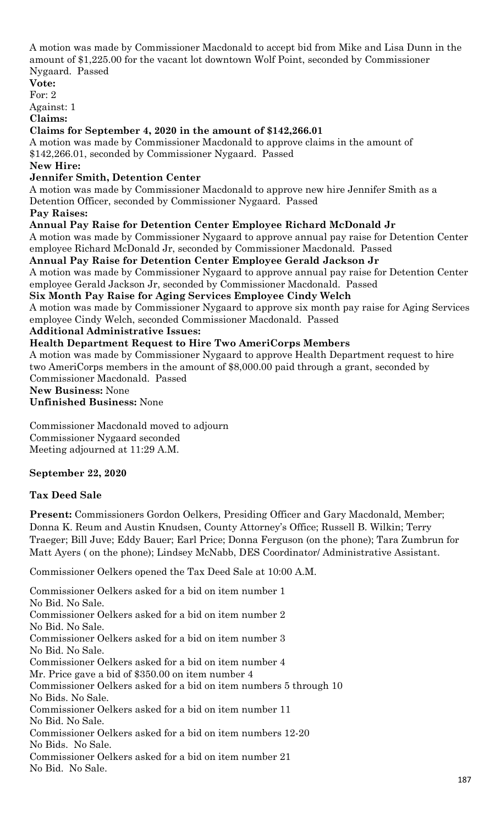A motion was made by Commissioner Macdonald to accept bid from Mike and Lisa Dunn in the amount of \$1,225.00 for the vacant lot downtown Wolf Point, seconded by Commissioner Nygaard. Passed

**Vote:** For: 2

Against: 1

**Claims:**

### **Claims for September 4, 2020 in the amount of \$142,266.01**

A motion was made by Commissioner Macdonald to approve claims in the amount of \$142,266.01, seconded by Commissioner Nygaard. Passed

### **New Hire:**

## **Jennifer Smith, Detention Center**

A motion was made by Commissioner Macdonald to approve new hire Jennifer Smith as a Detention Officer, seconded by Commissioner Nygaard. Passed

## **Pay Raises:**

## **Annual Pay Raise for Detention Center Employee Richard McDonald Jr**

A motion was made by Commissioner Nygaard to approve annual pay raise for Detention Center employee Richard McDonald Jr, seconded by Commissioner Macdonald. Passed

## **Annual Pay Raise for Detention Center Employee Gerald Jackson Jr**

A motion was made by Commissioner Nygaard to approve annual pay raise for Detention Center employee Gerald Jackson Jr, seconded by Commissioner Macdonald. Passed

**Six Month Pay Raise for Aging Services Employee Cindy Welch**

A motion was made by Commissioner Nygaard to approve six month pay raise for Aging Services employee Cindy Welch, seconded Commissioner Macdonald. Passed

## **Additional Administrative Issues:**

## **Health Department Request to Hire Two AmeriCorps Members**

A motion was made by Commissioner Nygaard to approve Health Department request to hire two AmeriCorps members in the amount of \$8,000.00 paid through a grant, seconded by Commissioner Macdonald. Passed

## **New Business:** None

**Unfinished Business:** None

Commissioner Macdonald moved to adjourn Commissioner Nygaard seconded Meeting adjourned at 11:29 A.M.

## **September 22, 2020**

## **Tax Deed Sale**

**Present:** Commissioners Gordon Oelkers, Presiding Officer and Gary Macdonald, Member; Donna K. Reum and Austin Knudsen, County Attorney's Office; Russell B. Wilkin; Terry Traeger; Bill Juve; Eddy Bauer; Earl Price; Donna Ferguson (on the phone); Tara Zumbrun for Matt Ayers ( on the phone); Lindsey McNabb, DES Coordinator/ Administrative Assistant.

Commissioner Oelkers opened the Tax Deed Sale at 10:00 A.M.

Commissioner Oelkers asked for a bid on item number 1 No Bid. No Sale. Commissioner Oelkers asked for a bid on item number 2 No Bid. No Sale. Commissioner Oelkers asked for a bid on item number 3 No Bid. No Sale. Commissioner Oelkers asked for a bid on item number 4 Mr. Price gave a bid of \$350.00 on item number 4 Commissioner Oelkers asked for a bid on item numbers 5 through 10 No Bids. No Sale. Commissioner Oelkers asked for a bid on item number 11 No Bid. No Sale. Commissioner Oelkers asked for a bid on item numbers 12-20 No Bids. No Sale. Commissioner Oelkers asked for a bid on item number 21 No Bid. No Sale.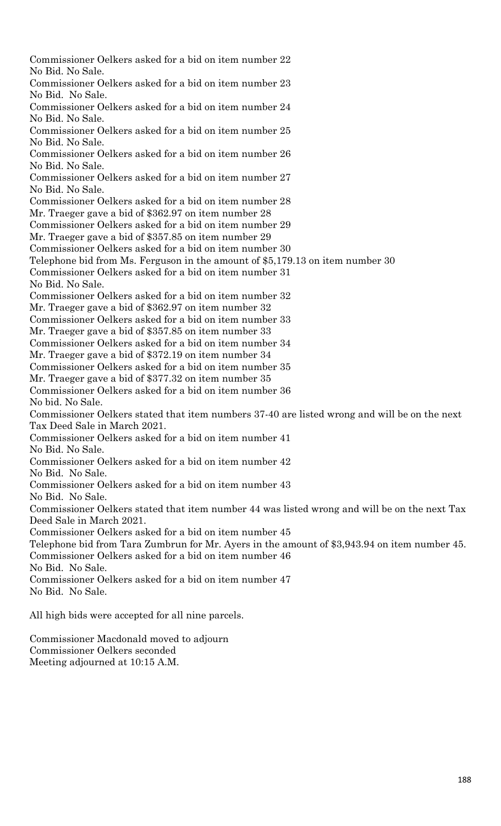Commissioner Oelkers asked for a bid on item number 22 No Bid. No Sale. Commissioner Oelkers asked for a bid on item number 23 No Bid. No Sale. Commissioner Oelkers asked for a bid on item number 24 No Bid. No Sale. Commissioner Oelkers asked for a bid on item number 25 No Bid. No Sale. Commissioner Oelkers asked for a bid on item number 26 No Bid. No Sale. Commissioner Oelkers asked for a bid on item number 27 No Bid. No Sale. Commissioner Oelkers asked for a bid on item number 28 Mr. Traeger gave a bid of \$362.97 on item number 28 Commissioner Oelkers asked for a bid on item number 29 Mr. Traeger gave a bid of \$357.85 on item number 29 Commissioner Oelkers asked for a bid on item number 30 Telephone bid from Ms. Ferguson in the amount of \$5,179.13 on item number 30 Commissioner Oelkers asked for a bid on item number 31 No Bid. No Sale. Commissioner Oelkers asked for a bid on item number 32 Mr. Traeger gave a bid of \$362.97 on item number 32 Commissioner Oelkers asked for a bid on item number 33 Mr. Traeger gave a bid of \$357.85 on item number 33 Commissioner Oelkers asked for a bid on item number 34 Mr. Traeger gave a bid of \$372.19 on item number 34 Commissioner Oelkers asked for a bid on item number 35 Mr. Traeger gave a bid of \$377.32 on item number 35 Commissioner Oelkers asked for a bid on item number 36 No bid. No Sale. Commissioner Oelkers stated that item numbers 37-40 are listed wrong and will be on the next Tax Deed Sale in March 2021. Commissioner Oelkers asked for a bid on item number 41 No Bid. No Sale. Commissioner Oelkers asked for a bid on item number 42 No Bid. No Sale. Commissioner Oelkers asked for a bid on item number 43 No Bid. No Sale. Commissioner Oelkers stated that item number 44 was listed wrong and will be on the next Tax Deed Sale in March 2021. Commissioner Oelkers asked for a bid on item number 45 Telephone bid from Tara Zumbrun for Mr. Ayers in the amount of \$3,943.94 on item number 45. Commissioner Oelkers asked for a bid on item number 46 No Bid. No Sale. Commissioner Oelkers asked for a bid on item number 47 No Bid. No Sale. All high bids were accepted for all nine parcels.

Commissioner Macdonald moved to adjourn Commissioner Oelkers seconded Meeting adjourned at 10:15 A.M.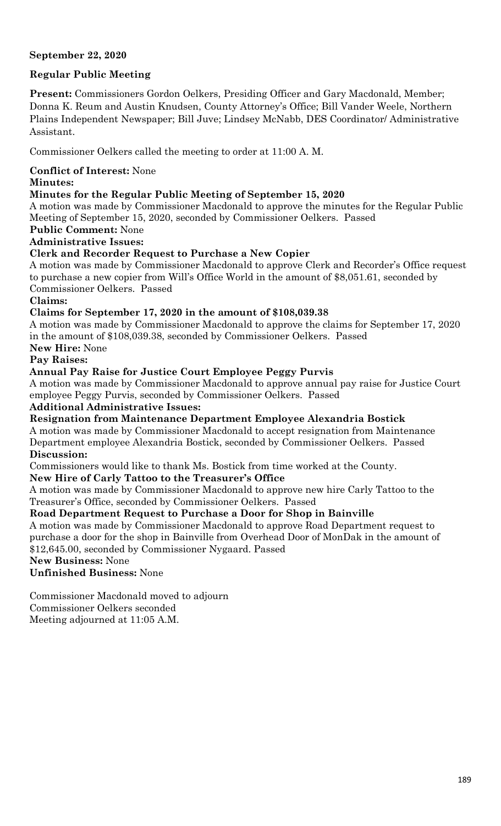## **September 22, 2020**

## **Regular Public Meeting**

**Present:** Commissioners Gordon Oelkers, Presiding Officer and Gary Macdonald, Member; Donna K. Reum and Austin Knudsen, County Attorney's Office; Bill Vander Weele, Northern Plains Independent Newspaper; Bill Juve; Lindsey McNabb, DES Coordinator/ Administrative Assistant.

Commissioner Oelkers called the meeting to order at 11:00 A. M.

# **Conflict of Interest:** None

#### **Minutes:**

## **Minutes for the Regular Public Meeting of September 15, 2020**

A motion was made by Commissioner Macdonald to approve the minutes for the Regular Public Meeting of September 15, 2020, seconded by Commissioner Oelkers. Passed

## **Public Comment:** None

## **Administrative Issues:**

## **Clerk and Recorder Request to Purchase a New Copier**

A motion was made by Commissioner Macdonald to approve Clerk and Recorder's Office request to purchase a new copier from Will's Office World in the amount of \$8,051.61, seconded by Commissioner Oelkers. Passed

## **Claims:**

## **Claims for September 17, 2020 in the amount of \$108,039.38**

A motion was made by Commissioner Macdonald to approve the claims for September 17, 2020 in the amount of \$108,039.38, seconded by Commissioner Oelkers. Passed

**New Hire:** None

# **Pay Raises:**

## **Annual Pay Raise for Justice Court Employee Peggy Purvis**

A motion was made by Commissioner Macdonald to approve annual pay raise for Justice Court employee Peggy Purvis, seconded by Commissioner Oelkers. Passed

#### **Additional Administrative Issues:**

# **Resignation from Maintenance Department Employee Alexandria Bostick**

A motion was made by Commissioner Macdonald to accept resignation from Maintenance Department employee Alexandria Bostick, seconded by Commissioner Oelkers. Passed **Discussion:**

Commissioners would like to thank Ms. Bostick from time worked at the County.

## **New Hire of Carly Tattoo to the Treasurer's Office**

A motion was made by Commissioner Macdonald to approve new hire Carly Tattoo to the Treasurer's Office, seconded by Commissioner Oelkers. Passed

## **Road Department Request to Purchase a Door for Shop in Bainville**

A motion was made by Commissioner Macdonald to approve Road Department request to purchase a door for the shop in Bainville from Overhead Door of MonDak in the amount of \$12,645.00, seconded by Commissioner Nygaard. Passed

**New Business:** None

**Unfinished Business:** None

Commissioner Macdonald moved to adjourn Commissioner Oelkers seconded

Meeting adjourned at 11:05 A.M.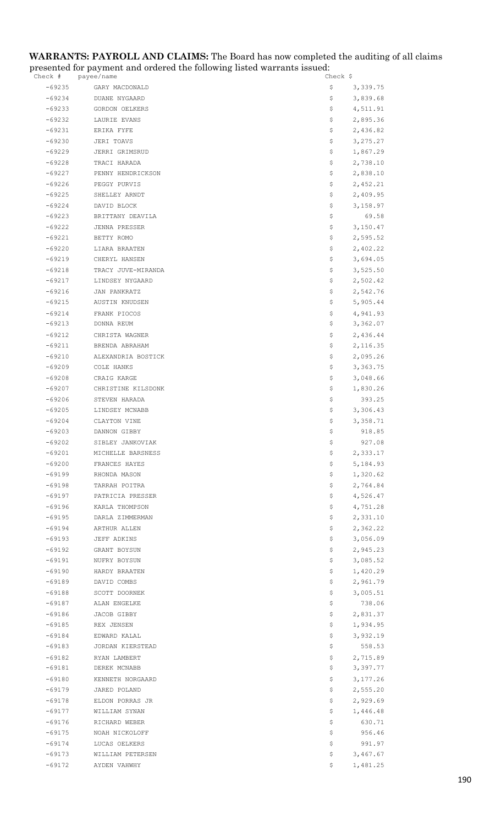#### **WARRANTS: PAYROLL AND CLAIMS:** The Board has now completed the auditing of all claims presented for payment and ordered the following listed warrants issued:

| Check #              | payee/name                         | Check Ş                      |
|----------------------|------------------------------------|------------------------------|
| $-69235$             | GARY MACDONALD                     | \$<br>3,339.75               |
| $-69234$             | DUANE NYGAARD                      | \$<br>3,839.68               |
| -69233               | GORDON OELKERS                     | \$<br>4,511.91               |
| $-69232$             | LAURIE EVANS                       | \$<br>2,895.36               |
| $-69231$             | ERIKA FYFE                         | \$<br>2,436.82               |
| $-69230$             | JERI TOAVS                         | \$<br>3, 275.27              |
| $-69229$             | JERRI GRIMSRUD                     | \$<br>1,867.29               |
| -69228               | TRACI HARADA                       | \$<br>2,738.10               |
| $-69227$             | PENNY HENDRICKSON                  | \$<br>2,838.10               |
| $-69226$             | PEGGY PURVIS                       | \$<br>2,452.21               |
| $-69225$             | SHELLEY ARNDT                      | \$<br>2,409.95               |
| $-69224$             | DAVID BLOCK                        | \$<br>3,158.97               |
| $-69223$             | BRITTANY DEAVILA                   | \$<br>69.58                  |
| $-69222$             | JENNA PRESSER                      | \$<br>3,150.47               |
| $-69221$             | BETTY ROMO<br>LIARA BRAATEN        | \$<br>2,595.52<br>2,402.22   |
| $-69220$<br>$-69219$ | CHERYL HANSEN                      | \$<br>\$<br>3,694.05         |
| $-69218$             | TRACY JUVE-MIRANDA                 | \$<br>3,525.50               |
| -69217               | LINDSEY NYGAARD                    | \$<br>2,502.42               |
| $-69216$             | JAN PANKRATZ                       | \$<br>2,542.76               |
| $-69215$             | AUSTIN KNUDSEN                     | \$<br>5,905.44               |
| $-69214$             | FRANK PIOCOS                       | \$<br>4,941.93               |
| $-69213$             | DONNA REUM                         | \$<br>3,362.07               |
| -69212               | CHRISTA WAGNER                     | \$<br>2,436.44               |
| $-69211$             | BRENDA ABRAHAM                     | \$<br>2,116.35               |
| $-69210$             | ALEXANDRIA BOSTICK                 | \$<br>2,095.26               |
| $-69209$             | COLE HANKS                         | \$<br>3,363.75               |
| $-69208$             | CRAIG KARGE                        | \$<br>3,048.66               |
| $-69207$             | CHRISTINE KILSDONK                 | \$<br>1,830.26               |
| $-69206$             | STEVEN HARADA                      | \$<br>393.25                 |
| $-69205$             | LINDSEY MCNABB                     | 3,306.43<br>Ş.               |
| $-69204$             | CLAYTON VINE                       | 3,358.71<br>Ş.               |
| $-69203$             | DANNON GIBBY                       | \$<br>918.85                 |
| $-69202$             | SIBLEY JANKOVIAK                   | 927.08<br>\$                 |
| -69201               | MICHELLE BARSNESS                  | Ş.<br>2,333.17               |
| $-69200$             | FRANCES HAYES                      | \$<br>5,184.93               |
| $-69199$             | RHONDA MASON                       | \$<br>1,320.62               |
| $-69198$             | TARRAH POITRA                      | 2,764.84<br>\$<br>4,526.47   |
| $-69197$<br>$-69196$ | PATRICIA PRESSER<br>KARLA THOMPSON | \$<br>\$<br>4,751.28         |
| $-69195$             | DARLA ZIMMERMAN                    | \$<br>2,331.10               |
| $-69194$             | ARTHUR ALLEN                       | \$<br>2,362.22               |
| $-69193$             | JEFF ADKINS                        | 3,056.09<br>Ş.               |
| $-69192$             | GRANT BOYSUN                       | \$<br>2,945.23               |
| $-69191$             | NUFRY BOYSUN                       | \$<br>3,085.52               |
| $-69190$             | HARDY BRAATEN                      | \$<br>1,420.29               |
| $-69189$             | DAVID COMBS                        | 2,961.79<br>\$.              |
| $-69188$             | SCOTT DOORNEK                      | 3,005.51<br>Ş.               |
| $-69187$             | ALAN ENGELKE                       | 738.06<br>\$                 |
| $-69186$             | JACOB GIBBY                        | 2,831.37<br>\$               |
| -69185               | REX JENSEN                         | \$<br>1,934.95               |
| $-69184$             | EDWARD KALAL                       | \$<br>3,932.19               |
| $-69183$             | JORDAN KIERSTEAD                   | \$<br>558.53                 |
| $-69182$             | RYAN LAMBERT                       | \$<br>2,715.89               |
| $-69181$             | DEREK MCNABB                       | \$<br>3,397.77               |
| $-69180$             | KENNETH NORGAARD                   | \$<br>3,177.26               |
| $-69179$             | JARED POLAND                       | \$<br>2,555.20               |
| $-69178$             | ELDON PORRAS JR                    | 2,929.69<br>\$               |
| $-69177$<br>$-69176$ | WILLIAM SYNAN                      | 1,446.48<br>Ş.               |
| $-69175$             | RICHARD WEBER<br>NOAH NICKOLOFF    | 630.71<br>\$<br>\$<br>956.46 |
| $-69174$             | LUCAS OELKERS                      | \$<br>991.97                 |
| $-69173$             | WILLIAM PETERSEN                   | \$<br>3,467.67               |
| $-69172$             | AYDEN VAHWHY                       | Ş.<br>1,481.25               |
|                      |                                    |                              |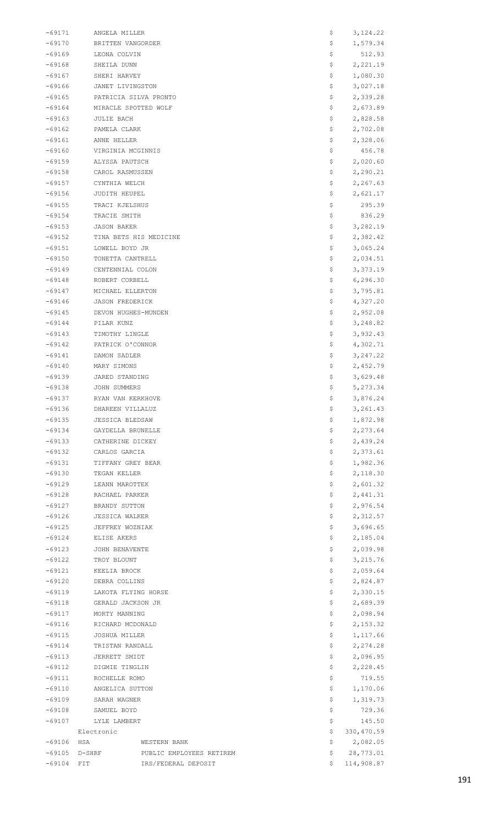| $-69171$             | ANGELA MILLER                        | Ş        | 3, 124.22            |
|----------------------|--------------------------------------|----------|----------------------|
| $-69170$             | BRITTEN VANGORDER                    | \$       | 1,579.34             |
| $-69169$             | LEONA COLVIN                         |          | 512.93               |
| $-69168$             | SHEILA DUNN                          | \$       | 2,221.19             |
| $-69167$             | SHERI HARVEY                         | \$       | 1,080.30             |
| -69166               | JANET LIVINGSTON                     | \$       | 3,027.18             |
| $-69165$             | PATRICIA SILVA PRONTO                | \$       | 2,339.28             |
| $-69164$             | MIRACLE SPOTTED WOLF                 | \$       | 2,673.89             |
| $-69163$             | <b>JULIE BACH</b>                    | \$       | 2,828.58             |
| -69162               | PAMELA CLARK                         | \$       | 2,702.08             |
| -69161               | ANNE HELLER                          | \$       | 2,328.06             |
| $-69160$             | VIRGINIA MCGINNIS                    | \$       | 456.78               |
| $-69159$             | ALYSSA PAUTSCH                       | \$       | 2,020.60             |
| -69158               | CAROL RASMUSSEN                      | \$       | 2,290.21             |
| $-69157$             | CYNTHIA WELCH                        | \$       | 2,267.63             |
| -69156               | JUDITH HEUPEL                        | \$       | 2,621.17             |
| $-69155$<br>$-69154$ | TRACI KJELSHUS<br>TRACIE SMITH       | \$<br>\$ | 295.39<br>836.29     |
| $-69153$             | <b>JASON BAKER</b>                   | \$       | 3,282.19             |
| $-69152$             | TINA BETS HIS MEDICINE               | \$       | 2,382.42             |
| $-69151$             | LOWELL BOYD JR                       | \$       | 3,065.24             |
| $-69150$             | TONETTA CANTRELL                     | \$       | 2,034.51             |
| -69149               | CENTENNIAL COLON                     | \$       | 3,373.19             |
| $-69148$             | ROBERT CORBELL                       | \$       | 6, 296.30            |
| $-69147$             | MICHAEL ELLERTON                     | \$       | 3,795.81             |
| -69146               | <b>JASON FREDERICK</b>               | Ş        | 4,327.20             |
| -69145               | DEVON HUGHES-MUNDEN                  | \$       | 2,952.08             |
| $-69144$             | PILAR KUNZ                           | \$       | 3,248.82             |
| $-69143$             | TIMOTHY LINGLE                       | \$       | 3,932.43             |
| -69142               | PATRICK O'CONNOR                     | \$       | 4,302.71             |
| $-69141$             | DAMON SADLER                         | \$       | 3, 247.22            |
| $-69140$             | MARY SIMONS                          | \$       | 2,452.79             |
| -69139               | JARED STANDING                       | \$       | 3,629.48             |
| -69138               | JOHN SUMMERS                         | \$       | 5, 273.34            |
| $-69137$             | RYAN VAN KERKHOVE                    | Ş        | 3,876.24             |
| $-69136$             | DHAREEN VILLALUZ                     | \$       | 3, 261.43            |
| $-69135$             | <b>JESSICA BLEDSAW</b>               | \$       | 1,872.98             |
| $-69134$             | GAYDELLA BRUNELLE                    | \$       | 2,273.64             |
| $-69133$             | CATHERINE DICKEY                     | \$       | 2,439.24             |
| $-69132$             | CARLOS GARCIA                        | \$       | 2,373.61             |
| $-69131$             | TIFFANY GREY BEAR                    | \$       | 1,982.36             |
| $-69130$             | TEGAN KELLER                         | \$       | 2,118.30             |
| $-69129$             | LEANN MAROTTEK                       | \$       | 2,601.32             |
| $-69128$             | RACHAEL PARKER                       | \$       | 2,441.31             |
| $-69127$             | BRANDY SUTTON                        | \$       | 2,976.54             |
| $-69126$             | <b>JESSICA WALKER</b>                | \$       | 2,312.57             |
| $-69125$             | JEFFREY WOZNIAK                      | \$       | 3,696.65             |
| $-69124$             | ELISE AKERS                          | \$       | 2,185.04             |
| $-69123$             | JOHN BENAVENTE                       | \$       | 2,039.98             |
| $-69122$             | TROY BLOUNT                          | \$       | 3,215.76             |
| $-69121$             | KEELIA BROCK                         | \$       | 2,059.64             |
| $-69120$             | DEBRA COLLINS                        | \$       | 2,824.87             |
| $-69119$             | LAKOTA FLYING HORSE                  | \$       | 2,330.15             |
| -69118               | GERALD JACKSON JR                    | \$       | 2,689.39             |
| $-69117$             | MORTY MANNING                        | \$       | 2,098.94             |
| $-69116$             | RICHARD MCDONALD                     | \$       | 2,153.32             |
| $-69115$             | JOSHUA MILLER                        | \$       | 1,117.66             |
| $-69114$             | TRISTAN RANDALL                      | \$       | 2,274.28             |
| $-69113$<br>$-69112$ | JERRETT SMIDT<br>DIGMIE TINGLIN      | \$<br>\$ | 2,096.95<br>2,228.45 |
| $-69111$             | ROCHELLE ROMO                        | \$       | 719.55               |
| $-69110$             | ANGELICA SUTTON                      | \$       | 1,170.06             |
| $-69109$             | SARAH WAGNER                         | \$       | 1,319.73             |
| -69108               | SAMUEL BOYD                          | \$       | 729.36               |
| $-69107$             | LYLE LAMBERT                         | \$       | 145.50               |
|                      | Electronic                           | \$       | 330, 470.59          |
| $-69106$             | HSA<br>WESTERN BANK                  | \$       | 2,082.05             |
| $-69105$             | $D-SHRF$<br>PUBLIC EMPLOYEES RETIREM | \$       | 28,773.01            |
| $-69104$ FIT         | IRS/FEDERAL DEPOSIT                  | Ŝ.       | 114,908.87           |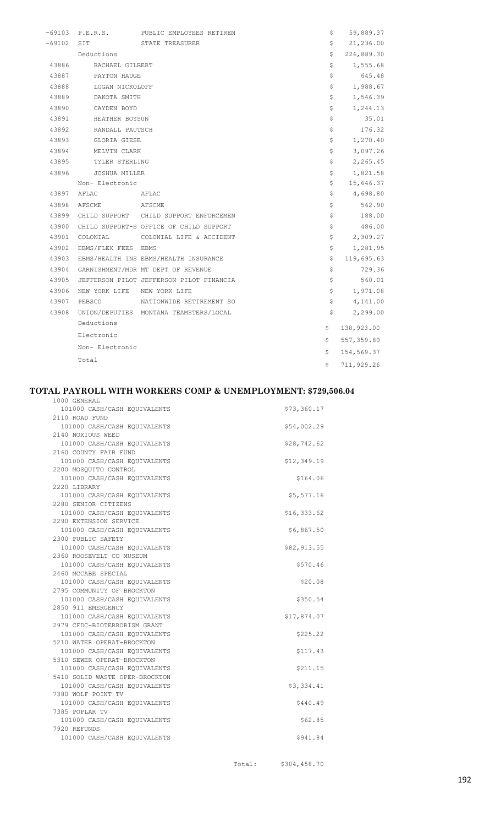| $-69103$ | P.E.R.S.                    | PUBLIC EMPLOYEES RETIREM                 | \$  | 59,889.37  |
|----------|-----------------------------|------------------------------------------|-----|------------|
| $-69102$ | SIT                         | STATE TREASURER                          | \$  | 21,236.00  |
|          | Deductions                  |                                          | \$  | 226,889.30 |
| 43886    | RACHAEL GILBERT             |                                          | \$  | 1,555.68   |
| 43887    | PAYTON HAUGE                |                                          | \$  | 645.48     |
| 43888    | LOGAN NICKOLOFF             |                                          | \$  | 1,988.67   |
| 43889    | DAKOTA SMITH                |                                          | \$  | 1,546.39   |
| 43890    | CAYDEN BOYD                 |                                          | \$  | 1,244.13   |
| 43891    | HEATHER BOYSUN              |                                          | \$  | 35.01      |
| 43892    | RANDALL PAUTSCH             |                                          | \$  | 176.32     |
| 43893    | GLORIA GIESE                |                                          | \$  | 1,270.40   |
| 43894    | MELVIN CLARK                |                                          | \$  | 3,097.26   |
| 43895    | TYLER STERLING              |                                          | \$  | 2,265.45   |
| 43896    | JOSHUA MILLER               |                                          | \$  | 1,821.58   |
|          | Non- Electronic             |                                          | \$  | 15,646.37  |
|          | 43897 AFLAC AFLAC           |                                          | \$  | 4,698.80   |
| 43898    | AFSCME AFSCME               |                                          | \$  | 562.90     |
| 43899    |                             | CHILD SUPPORT CHILD SUPPORT ENFORCEMEN   | \$  | 188.00     |
| 43900    |                             | CHILD SUPPORT-S OFFICE OF CHILD SUPPORT  | \$  | 486.00     |
| 43901    |                             | COLONIAL COLONIAL LIFE & ACCIDENT        | \$  | 2,309.27   |
| 43902    | EBMS/FLEX FEES EBMS         |                                          | \$  | 1,281.95   |
| 43903    |                             | EBMS/HEALTH INS EBMS/HEALTH INSURANCE    | \$. | 119,695.63 |
| 43904    |                             | GARNISHMENT/MDR MT DEPT OF REVENUE       | \$  | 729.36     |
| 43905    |                             | JEFFERSON PILOT JEFFERSON PILOT FINANCIA | \$  | 560.01     |
| 43906    | NEW YORK LIFE NEW YORK LIFE |                                          | \$  | 1,971.08   |
| 43907    | PEBSCO                      | NATIONWIDE RETIREMENT SO                 | \$  | 4,141.00   |
| 43908    |                             | UNION/DEPUTIES MONTANA TEAMSTERS/LOCAL   | \$  | 2,299.00   |
|          | Deductions                  |                                          | \$  | 138,923.00 |
|          | Electronic                  |                                          | \$. | 557,359.89 |
|          | Non- Electronic             |                                          | \$  | 154,569.37 |
|          | Total                       |                                          | \$  | 711,929.26 |
|          |                             |                                          |     |            |

#### **TOTAL PAYROLL WITH WORKERS COMP & UNEMPLOYMENT: \$729,506.04**

| 1000 GENERAL                                                 |             |
|--------------------------------------------------------------|-------------|
| 101000 CASH/CASH EQUIVALENTS                                 | \$73,360.17 |
| 2110 ROAD FUND                                               |             |
| 101000 CASH/CASH EQUIVALENTS                                 | \$54,002.29 |
| 2140 NOXIOUS WEED                                            |             |
| 101000 CASH/CASH EQUIVALENTS                                 | \$28,742.62 |
| 2160 COUNTY FAIR FUND                                        |             |
| 101000 CASH/CASH EQUIVALENTS                                 | \$12,349.19 |
| 2200 MOSQUITO CONTROL                                        |             |
| 101000 CASH/CASH EQUIVALENTS                                 | \$164.06    |
| 2220 LIBRARY                                                 |             |
| 101000 CASH/CASH EQUIVALENTS                                 | \$5,577.16  |
| 2280 SENIOR CITIZENS                                         |             |
| 101000 CASH/CASH EQUIVALENTS                                 | \$16,333.62 |
| 2290 EXTENSION SERVICE                                       |             |
| 101000 CASH/CASH EQUIVALENTS                                 | \$6,867.50  |
| 2300 PUBLIC SAFETY                                           |             |
| 101000 CASH/CASH EQUIVALENTS                                 | \$82,913.55 |
| 2360 ROOSEVELT CO MUSEUM                                     |             |
| 101000 CASH/CASH EQUIVALENTS                                 | \$570.46    |
| 2460 MCCABE SPECIAL                                          |             |
| 101000 CASH/CASH EQUIVALENTS                                 | \$20.08     |
| 2795 COMMUNITY OF BROCKTON                                   |             |
| 101000 CASH/CASH EQUIVALENTS                                 | \$350.54    |
| 2850 911 EMERGENCY<br>101000 CASH/CASH EQUIVALENTS           |             |
|                                                              | \$17,874.07 |
| 2979 CFDC-BIOTERRORISM GRANT<br>101000 CASH/CASH EQUIVALENTS | \$225.22    |
| 5210 WATER OPERAT-BROCKTON                                   |             |
| 101000 CASH/CASH EQUIVALENTS                                 | \$117.43    |
| 5310 SEWER OPERAT-BROCKTON                                   |             |
| 101000 CASH/CASH EQUIVALENTS                                 | \$211.15    |
| 5410 SOLID WASTE OPER-BROCKTON                               |             |
| 101000 CASH/CASH EQUIVALENTS                                 | \$3,334.41  |
| 7380 WOLF POINT TV                                           |             |
| 101000 CASH/CASH EQUIVALENTS                                 | \$440.49    |
| 7385 POPLAR TV                                               |             |
| 101000 CASH/CASH EQUIVALENTS                                 | \$62.85     |
| 7920 REFUNDS                                                 |             |
| 101000 CASH/CASH EQUIVALENTS                                 | \$941.84    |
|                                                              |             |
|                                                              |             |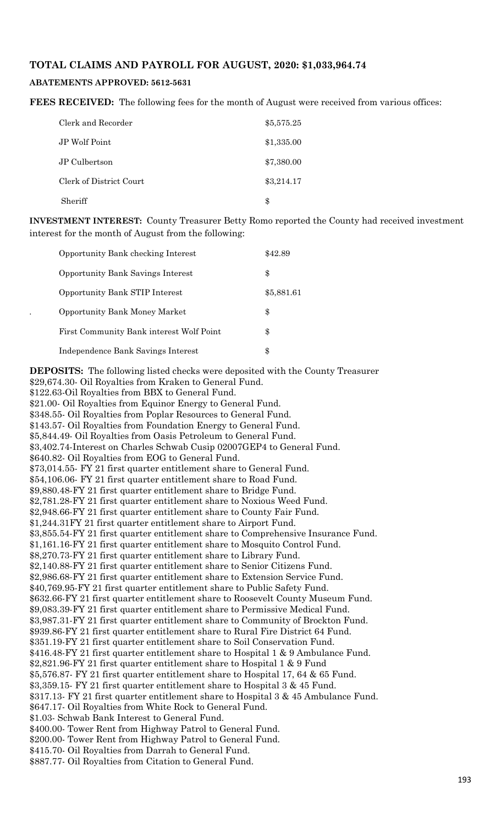#### **TOTAL CLAIMS AND PAYROLL FOR AUGUST, 2020: \$1,033,964.74**

#### **ABATEMENTS APPROVED: 5612-5631**

**FEES RECEIVED:** The following fees for the month of August were received from various offices:

| Clerk and Recorder      | \$5,575.25 |
|-------------------------|------------|
| JP Wolf Point           | \$1,335.00 |
| JP Culbertson           | \$7,380.00 |
| Clerk of District Court | \$3,214.17 |
| Sheriff                 | \$         |

**INVESTMENT INTEREST:** County Treasurer Betty Romo reported the County had received investment interest for the month of August from the following:

| Opportunity Bank checking Interest       | \$42.89    |
|------------------------------------------|------------|
| <b>Opportunity Bank Savings Interest</b> | \$         |
| Opportunity Bank STIP Interest           | \$5,881.61 |
| <b>Opportunity Bank Money Market</b>     | \$         |
| First Community Bank interest Wolf Point | \$         |
| Independence Bank Savings Interest       | \$         |

**DEPOSITS:** The following listed checks were deposited with the County Treasurer \$29,674.30- Oil Royalties from Kraken to General Fund. \$122.63-Oil Royalties from BBX to General Fund. \$21.00- Oil Royalties from Equinor Energy to General Fund. \$348.55- Oil Royalties from Poplar Resources to General Fund. \$143.57- Oil Royalties from Foundation Energy to General Fund. \$5,844.49- Oil Royalties from Oasis Petroleum to General Fund. \$3,402.74-Interest on Charles Schwab Cusip 02007GEP4 to General Fund. \$640.82- Oil Royalties from EOG to General Fund. \$73,014.55- FY 21 first quarter entitlement share to General Fund. \$54,106.06- FY 21 first quarter entitlement share to Road Fund. \$9,880.48-FY 21 first quarter entitlement share to Bridge Fund. \$2,781.28-FY 21 first quarter entitlement share to Noxious Weed Fund. \$2,948.66-FY 21 first quarter entitlement share to County Fair Fund. \$1,244.31FY 21 first quarter entitlement share to Airport Fund. \$3,855.54-FY 21 first quarter entitlement share to Comprehensive Insurance Fund. \$1,161.16-FY 21 first quarter entitlement share to Mosquito Control Fund. \$8,270.73-FY 21 first quarter entitlement share to Library Fund. \$2,140.88-FY 21 first quarter entitlement share to Senior Citizens Fund. \$2,986.68-FY 21 first quarter entitlement share to Extension Service Fund. \$40,769.95-FY 21 first quarter entitlement share to Public Safety Fund. \$632.66-FY 21 first quarter entitlement share to Roosevelt County Museum Fund. \$9,083.39-FY 21 first quarter entitlement share to Permissive Medical Fund. \$3,987.31-FY 21 first quarter entitlement share to Community of Brockton Fund. \$939.86-FY 21 first quarter entitlement share to Rural Fire District 64 Fund. \$351.19-FY 21 first quarter entitlement share to Soil Conservation Fund. \$416.48-FY 21 first quarter entitlement share to Hospital 1 & 9 Ambulance Fund. \$2,821.96-FY 21 first quarter entitlement share to Hospital 1 & 9 Fund \$5,576.87- FY 21 first quarter entitlement share to Hospital 17, 64 & 65 Fund. \$3,359.15- FY 21 first quarter entitlement share to Hospital 3 & 45 Fund. \$317.13- FY 21 first quarter entitlement share to Hospital 3 & 45 Ambulance Fund. \$647.17- Oil Royalties from White Rock to General Fund. \$1.03- Schwab Bank Interest to General Fund. \$400.00- Tower Rent from Highway Patrol to General Fund. \$200.00- Tower Rent from Highway Patrol to General Fund. \$415.70- Oil Royalties from Darrah to General Fund.

\$887.77- Oil Royalties from Citation to General Fund.